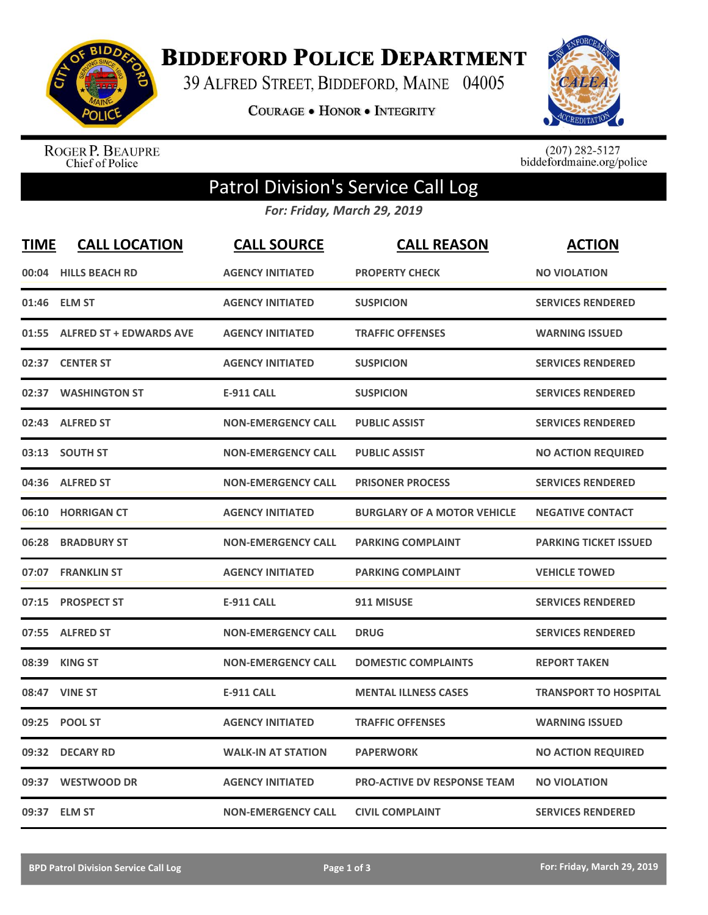

**BIDDEFORD POLICE DEPARTMENT** 

39 ALFRED STREET, BIDDEFORD, MAINE 04005

COURAGE . HONOR . INTEGRITY



ROGER P. BEAUPRE<br>Chief of Police

 $(207)$  282-5127<br>biddefordmaine.org/police

## Patrol Division's Service Call Log

*For: Friday, March 29, 2019*

| <b>TIME</b> | <b>CALL LOCATION</b>           | <b>CALL SOURCE</b>        | <b>CALL REASON</b>                 | <b>ACTION</b>                |
|-------------|--------------------------------|---------------------------|------------------------------------|------------------------------|
| 00:04       | <b>HILLS BEACH RD</b>          | <b>AGENCY INITIATED</b>   | <b>PROPERTY CHECK</b>              | <b>NO VIOLATION</b>          |
|             | 01:46 ELM ST                   | <b>AGENCY INITIATED</b>   | <b>SUSPICION</b>                   | <b>SERVICES RENDERED</b>     |
| 01:55       | <b>ALFRED ST + EDWARDS AVE</b> | <b>AGENCY INITIATED</b>   | <b>TRAFFIC OFFENSES</b>            | <b>WARNING ISSUED</b>        |
| 02:37       | <b>CENTER ST</b>               | <b>AGENCY INITIATED</b>   | <b>SUSPICION</b>                   | <b>SERVICES RENDERED</b>     |
| 02:37       | <b>WASHINGTON ST</b>           | <b>E-911 CALL</b>         | <b>SUSPICION</b>                   | <b>SERVICES RENDERED</b>     |
| 02:43       | <b>ALFRED ST</b>               | <b>NON-EMERGENCY CALL</b> | <b>PUBLIC ASSIST</b>               | <b>SERVICES RENDERED</b>     |
| 03:13       | <b>SOUTH ST</b>                | <b>NON-EMERGENCY CALL</b> | <b>PUBLIC ASSIST</b>               | <b>NO ACTION REQUIRED</b>    |
| 04:36       | <b>ALFRED ST</b>               | <b>NON-EMERGENCY CALL</b> | <b>PRISONER PROCESS</b>            | <b>SERVICES RENDERED</b>     |
| 06:10       | <b>HORRIGAN CT</b>             | <b>AGENCY INITIATED</b>   | <b>BURGLARY OF A MOTOR VEHICLE</b> | <b>NEGATIVE CONTACT</b>      |
| 06:28       | <b>BRADBURY ST</b>             | <b>NON-EMERGENCY CALL</b> | <b>PARKING COMPLAINT</b>           | <b>PARKING TICKET ISSUED</b> |
|             | 07:07 FRANKLIN ST              | <b>AGENCY INITIATED</b>   | <b>PARKING COMPLAINT</b>           | <b>VEHICLE TOWED</b>         |
| 07:15       | <b>PROSPECT ST</b>             | <b>E-911 CALL</b>         | 911 MISUSE                         | <b>SERVICES RENDERED</b>     |
| 07:55       | <b>ALFRED ST</b>               | <b>NON-EMERGENCY CALL</b> | <b>DRUG</b>                        | <b>SERVICES RENDERED</b>     |
| 08:39       | <b>KING ST</b>                 | <b>NON-EMERGENCY CALL</b> | <b>DOMESTIC COMPLAINTS</b>         | <b>REPORT TAKEN</b>          |
| 08:47       | <b>VINE ST</b>                 | <b>E-911 CALL</b>         | <b>MENTAL ILLNESS CASES</b>        | <b>TRANSPORT TO HOSPITAL</b> |
| 09:25       | <b>POOL ST</b>                 | <b>AGENCY INITIATED</b>   | <b>TRAFFIC OFFENSES</b>            | <b>WARNING ISSUED</b>        |
| 09:32       | <b>DECARY RD</b>               | <b>WALK-IN AT STATION</b> | <b>PAPERWORK</b>                   | <b>NO ACTION REQUIRED</b>    |
| 09:37       | <b>WESTWOOD DR</b>             | <b>AGENCY INITIATED</b>   | <b>PRO-ACTIVE DV RESPONSE TEAM</b> | <b>NO VIOLATION</b>          |
|             | 09:37 ELM ST                   | <b>NON-EMERGENCY CALL</b> | <b>CIVIL COMPLAINT</b>             | <b>SERVICES RENDERED</b>     |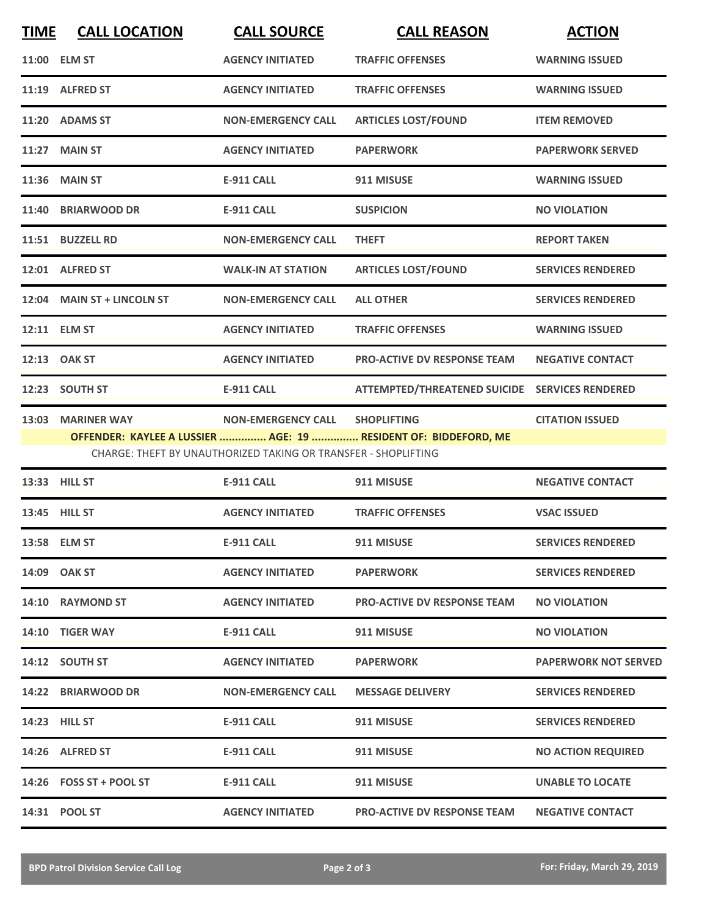| <b>TIME</b>                                                                                                                       | <b>CALL LOCATION</b>       | <b>CALL SOURCE</b>        | <b>CALL REASON</b>                             | <b>ACTION</b>            |  |
|-----------------------------------------------------------------------------------------------------------------------------------|----------------------------|---------------------------|------------------------------------------------|--------------------------|--|
|                                                                                                                                   | 11:00 ELM ST               | <b>AGENCY INITIATED</b>   | <b>TRAFFIC OFFENSES</b>                        | <b>WARNING ISSUED</b>    |  |
| 11:19                                                                                                                             | <b>ALFRED ST</b>           | <b>AGENCY INITIATED</b>   | <b>TRAFFIC OFFENSES</b>                        | <b>WARNING ISSUED</b>    |  |
|                                                                                                                                   | 11:20 ADAMS ST             | <b>NON-EMERGENCY CALL</b> | <b>ARTICLES LOST/FOUND</b>                     | <b>ITEM REMOVED</b>      |  |
|                                                                                                                                   | 11:27 MAIN ST              | <b>AGENCY INITIATED</b>   | <b>PAPERWORK</b>                               | <b>PAPERWORK SERVED</b>  |  |
|                                                                                                                                   | 11:36 MAIN ST              | <b>E-911 CALL</b>         | 911 MISUSE                                     | <b>WARNING ISSUED</b>    |  |
| 11:40                                                                                                                             | <b>BRIARWOOD DR</b>        | <b>E-911 CALL</b>         | <b>SUSPICION</b>                               | <b>NO VIOLATION</b>      |  |
|                                                                                                                                   | 11:51 BUZZELL RD           | <b>NON-EMERGENCY CALL</b> | <b>THEFT</b>                                   | <b>REPORT TAKEN</b>      |  |
|                                                                                                                                   | 12:01 ALFRED ST            | <b>WALK-IN AT STATION</b> | <b>ARTICLES LOST/FOUND</b>                     | <b>SERVICES RENDERED</b> |  |
|                                                                                                                                   | 12:04 MAIN ST + LINCOLN ST | <b>NON-EMERGENCY CALL</b> | <b>ALL OTHER</b>                               | <b>SERVICES RENDERED</b> |  |
|                                                                                                                                   | 12:11 ELM ST               | <b>AGENCY INITIATED</b>   | <b>TRAFFIC OFFENSES</b>                        | <b>WARNING ISSUED</b>    |  |
|                                                                                                                                   | 12:13 OAK ST               | <b>AGENCY INITIATED</b>   | <b>PRO-ACTIVE DV RESPONSE TEAM</b>             | <b>NEGATIVE CONTACT</b>  |  |
|                                                                                                                                   | 12:23 SOUTH ST             | <b>E-911 CALL</b>         | ATTEMPTED/THREATENED SUICIDE SERVICES RENDERED |                          |  |
|                                                                                                                                   | 13:03 MARINER WAY          | <b>NON-EMERGENCY CALL</b> | <b>SHOPLIFTING</b>                             | <b>CITATION ISSUED</b>   |  |
| OFFENDER: KAYLEE A LUSSIER  AGE: 19  RESIDENT OF: BIDDEFORD, ME<br>CHARGE: THEFT BY UNAUTHORIZED TAKING OR TRANSFER - SHOPLIFTING |                            |                           |                                                |                          |  |
|                                                                                                                                   | 13:33 HILL ST              | <b>E-911 CALL</b>         | 911 MISUSE                                     | <b>NEGATIVE CONTACT</b>  |  |
|                                                                                                                                   | 13:45 HILL ST              | <b>AGENCY INITIATED</b>   | <b>TRAFFIC OFFENSES</b>                        | <b>VSAC ISSUED</b>       |  |
|                                                                                                                                   |                            |                           |                                                |                          |  |

|       | 13:58 ELM ST            | <b>E-911 CALL</b>         | 911 MISUSE                         | <b>SERVICES RENDERED</b>    |
|-------|-------------------------|---------------------------|------------------------------------|-----------------------------|
|       | 14:09 OAK ST            | <b>AGENCY INITIATED</b>   | <b>PAPERWORK</b>                   | <b>SERVICES RENDERED</b>    |
| 14:10 | <b>RAYMOND ST</b>       | <b>AGENCY INITIATED</b>   | <b>PRO-ACTIVE DV RESPONSE TEAM</b> | <b>NO VIOLATION</b>         |
|       | 14:10 TIGER WAY         | <b>E-911 CALL</b>         | 911 MISUSE                         | <b>NO VIOLATION</b>         |
|       | 14:12 SOUTH ST          | <b>AGENCY INITIATED</b>   | <b>PAPERWORK</b>                   | <b>PAPERWORK NOT SERVED</b> |
| 14:22 | <b>BRIARWOOD DR</b>     | <b>NON-EMERGENCY CALL</b> | <b>MESSAGE DELIVERY</b>            | <b>SERVICES RENDERED</b>    |
|       | 14:23 HILL ST           | <b>E-911 CALL</b>         | 911 MISUSE                         | <b>SERVICES RENDERED</b>    |
|       | 14:26 ALFRED ST         | <b>E-911 CALL</b>         | 911 MISUSE                         | <b>NO ACTION REQUIRED</b>   |
|       | 14:26 FOSS ST + POOL ST | <b>E-911 CALL</b>         | 911 MISUSE                         | <b>UNABLE TO LOCATE</b>     |
|       | 14:31 POOL ST           | <b>AGENCY INITIATED</b>   | <b>PRO-ACTIVE DV RESPONSE TEAM</b> | <b>NEGATIVE CONTACT</b>     |